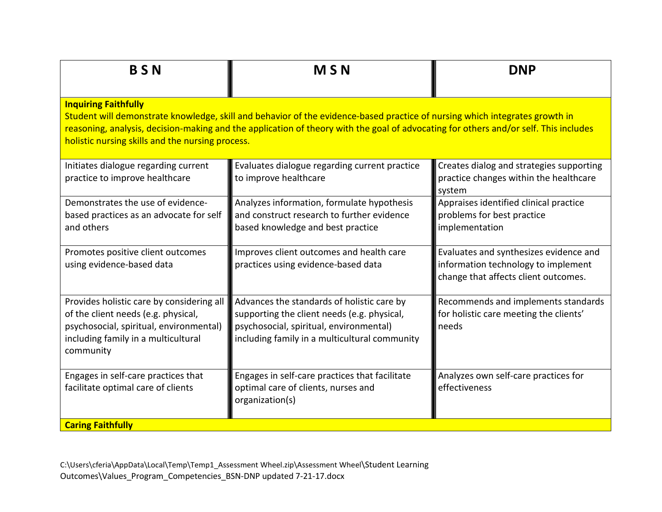| <b>BSN</b>                                                                                                                                                                                                                                                                                                                                             | <b>MSN</b>                                                                                                                                                                            | <b>DNP</b>                                                                                                            |  |  |
|--------------------------------------------------------------------------------------------------------------------------------------------------------------------------------------------------------------------------------------------------------------------------------------------------------------------------------------------------------|---------------------------------------------------------------------------------------------------------------------------------------------------------------------------------------|-----------------------------------------------------------------------------------------------------------------------|--|--|
| <b>Inquiring Faithfully</b><br>Student will demonstrate knowledge, skill and behavior of the evidence-based practice of nursing which integrates growth in<br>reasoning, analysis, decision-making and the application of theory with the goal of advocating for others and/or self. This includes<br>holistic nursing skills and the nursing process. |                                                                                                                                                                                       |                                                                                                                       |  |  |
| Initiates dialogue regarding current<br>practice to improve healthcare                                                                                                                                                                                                                                                                                 | Evaluates dialogue regarding current practice<br>to improve healthcare                                                                                                                | Creates dialog and strategies supporting<br>practice changes within the healthcare<br>system                          |  |  |
| Demonstrates the use of evidence-<br>based practices as an advocate for self<br>and others                                                                                                                                                                                                                                                             | Analyzes information, formulate hypothesis<br>and construct research to further evidence<br>based knowledge and best practice                                                         | Appraises identified clinical practice<br>problems for best practice<br>implementation                                |  |  |
| Promotes positive client outcomes<br>using evidence-based data                                                                                                                                                                                                                                                                                         | Improves client outcomes and health care<br>practices using evidence-based data                                                                                                       | Evaluates and synthesizes evidence and<br>information technology to implement<br>change that affects client outcomes. |  |  |
| Provides holistic care by considering all<br>of the client needs (e.g. physical,<br>psychosocial, spiritual, environmental)<br>including family in a multicultural<br>community                                                                                                                                                                        | Advances the standards of holistic care by<br>supporting the client needs (e.g. physical,<br>psychosocial, spiritual, environmental)<br>including family in a multicultural community | Recommends and implements standards<br>for holistic care meeting the clients'<br>needs                                |  |  |
| Engages in self-care practices that<br>facilitate optimal care of clients                                                                                                                                                                                                                                                                              | Engages in self-care practices that facilitate<br>optimal care of clients, nurses and<br>organization(s)                                                                              | Analyzes own self-care practices for<br>effectiveness                                                                 |  |  |
| <b>Caring Faithfully</b>                                                                                                                                                                                                                                                                                                                               |                                                                                                                                                                                       |                                                                                                                       |  |  |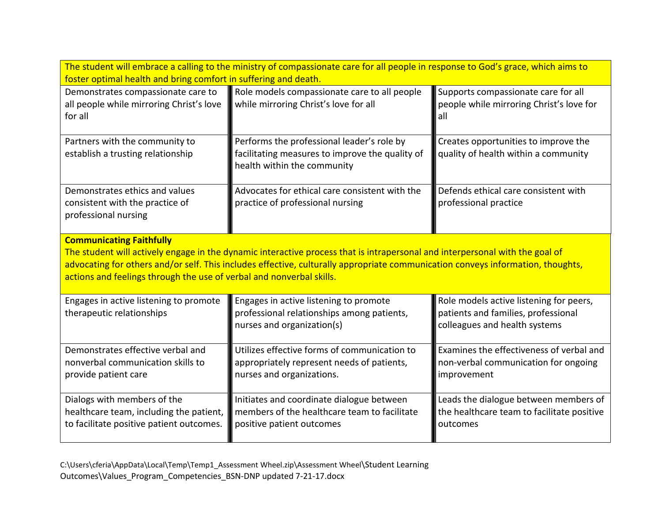| The student will embrace a calling to the ministry of compassionate care for all people in response to God's grace, which aims to<br>foster optimal health and bring comfort in suffering and death.                                                                                                                                                                       |                                                                                                                              |                                                                                                                 |  |  |
|----------------------------------------------------------------------------------------------------------------------------------------------------------------------------------------------------------------------------------------------------------------------------------------------------------------------------------------------------------------------------|------------------------------------------------------------------------------------------------------------------------------|-----------------------------------------------------------------------------------------------------------------|--|--|
| Demonstrates compassionate care to<br>all people while mirroring Christ's love<br>for all                                                                                                                                                                                                                                                                                  | Role models compassionate care to all people<br>while mirroring Christ's love for all                                        | Supports compassionate care for all<br>people while mirroring Christ's love for<br>all                          |  |  |
| Partners with the community to<br>establish a trusting relationship                                                                                                                                                                                                                                                                                                        | Performs the professional leader's role by<br>facilitating measures to improve the quality of<br>health within the community | Creates opportunities to improve the<br>quality of health within a community                                    |  |  |
| Demonstrates ethics and values<br>consistent with the practice of<br>professional nursing                                                                                                                                                                                                                                                                                  | Advocates for ethical care consistent with the<br>practice of professional nursing                                           | Defends ethical care consistent with<br>professional practice                                                   |  |  |
| <b>Communicating Faithfully</b><br>The student will actively engage in the dynamic interactive process that is intrapersonal and interpersonal with the goal of<br>advocating for others and/or self. This includes effective, culturally appropriate communication conveys information, thoughts,<br>actions and feelings through the use of verbal and nonverbal skills. |                                                                                                                              |                                                                                                                 |  |  |
| Engages in active listening to promote<br>therapeutic relationships                                                                                                                                                                                                                                                                                                        | Engages in active listening to promote<br>professional relationships among patients,<br>nurses and organization(s)           | Role models active listening for peers,<br>patients and families, professional<br>colleagues and health systems |  |  |
| Demonstrates effective verbal and<br>nonverbal communication skills to<br>provide patient care                                                                                                                                                                                                                                                                             | Utilizes effective forms of communication to<br>appropriately represent needs of patients,<br>nurses and organizations.      | Examines the effectiveness of verbal and<br>non-verbal communication for ongoing<br>improvement                 |  |  |
| Dialogs with members of the<br>healthcare team, including the patient,<br>to facilitate positive patient outcomes.                                                                                                                                                                                                                                                         | Initiates and coordinate dialogue between<br>members of the healthcare team to facilitate<br>positive patient outcomes       | Leads the dialogue between members of<br>the healthcare team to facilitate positive<br>outcomes                 |  |  |

C:\Users\cferia\AppData\Local\Temp\Temp1\_Assessment Wheel.zip\Assessment Wheel\Student Learning Outcomes\Values\_Program\_Competencies\_BSN-DNP updated 7-21-17.docx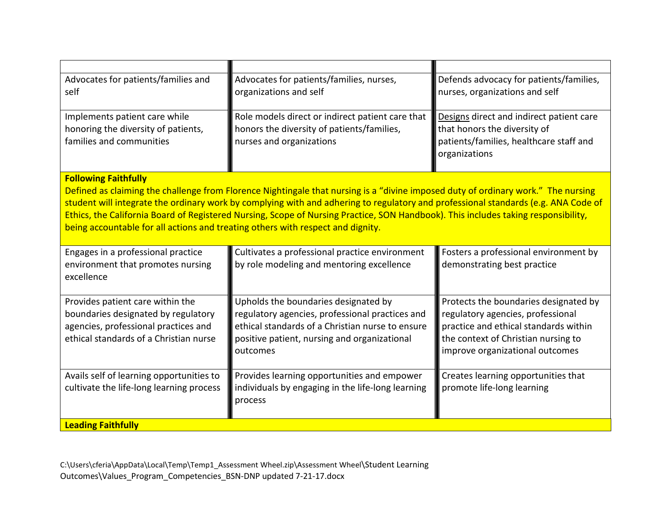| Advocates for patients/families, nurses,<br>organizations and self<br>Role models direct or indirect patient care that<br>honors the diversity of patients/families,<br>nurses and organizations                                                                                                                                                                                                                                                                                                                                | Defends advocacy for patients/families,<br>nurses, organizations and self<br>Designs direct and indirect patient care<br>that honors the diversity of<br>patients/families, healthcare staff and<br>organizations |  |  |  |  |
|---------------------------------------------------------------------------------------------------------------------------------------------------------------------------------------------------------------------------------------------------------------------------------------------------------------------------------------------------------------------------------------------------------------------------------------------------------------------------------------------------------------------------------|-------------------------------------------------------------------------------------------------------------------------------------------------------------------------------------------------------------------|--|--|--|--|
| <b>Following Faithfully</b><br>Defined as claiming the challenge from Florence Nightingale that nursing is a "divine imposed duty of ordinary work." The nursing<br>student will integrate the ordinary work by complying with and adhering to regulatory and professional standards (e.g. ANA Code of<br>Ethics, the California Board of Registered Nursing, Scope of Nursing Practice, SON Handbook). This includes taking responsibility,<br>being accountable for all actions and treating others with respect and dignity. |                                                                                                                                                                                                                   |  |  |  |  |
| Cultivates a professional practice environment<br>by role modeling and mentoring excellence                                                                                                                                                                                                                                                                                                                                                                                                                                     | Fosters a professional environment by<br>demonstrating best practice                                                                                                                                              |  |  |  |  |
| Upholds the boundaries designated by<br>regulatory agencies, professional practices and<br>ethical standards of a Christian nurse to ensure<br>positive patient, nursing and organizational<br>outcomes                                                                                                                                                                                                                                                                                                                         | Protects the boundaries designated by<br>regulatory agencies, professional<br>practice and ethical standards within<br>the context of Christian nursing to<br>improve organizational outcomes                     |  |  |  |  |
| Provides learning opportunities and empower<br>individuals by engaging in the life-long learning<br>process                                                                                                                                                                                                                                                                                                                                                                                                                     | Creates learning opportunities that<br>promote life-long learning                                                                                                                                                 |  |  |  |  |
|                                                                                                                                                                                                                                                                                                                                                                                                                                                                                                                                 |                                                                                                                                                                                                                   |  |  |  |  |